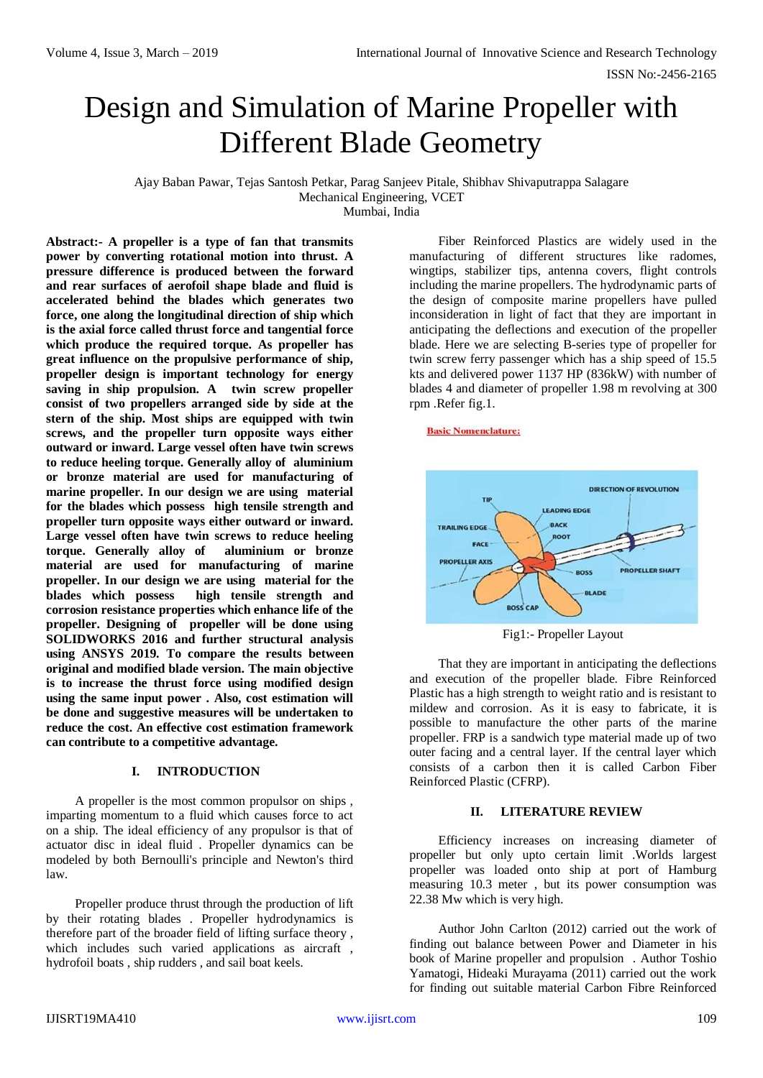# Design and Simulation of Marine Propeller with Different Blade Geometry

Ajay Baban Pawar, Tejas Santosh Petkar, Parag Sanjeev Pitale, Shibhav Shivaputrappa Salagare Mechanical Engineering, VCET

Mumbai, India

**Abstract:- A propeller is a type of fan that transmits power by converting rotational motion into thrust. A pressure difference is produced between the forward and rear surfaces of aerofoil shape blade and fluid is accelerated behind the blades which generates two force, one along the longitudinal direction of ship which is the axial force called thrust force and tangential force which produce the required torque. As propeller has great influence on the propulsive performance of ship, propeller design is important technology for energy saving in ship propulsion. A twin screw propeller consist of two propellers arranged side by side at the stern of the ship. Most ships are equipped with twin screws, and the propeller turn opposite ways either outward or inward. Large vessel often have twin screws to reduce heeling torque. Generally alloy of aluminium or bronze material are used for manufacturing of marine propeller. In our design we are using material for the blades which possess high tensile strength and propeller turn opposite ways either outward or inward. Large vessel often have twin screws to reduce heeling torque. Generally alloy of aluminium or bronze material are used for manufacturing of marine propeller. In our design we are using material for the blades which possess high tensile strength and corrosion resistance properties which enhance life of the propeller. Designing of propeller will be done using SOLIDWORKS 2016 and further structural analysis using ANSYS 2019. To compare the results between original and modified blade version. The main objective is to increase the thrust force using modified design using the same input power . Also, cost estimation will be done and suggestive measures will be undertaken to reduce the cost. An effective cost estimation framework can contribute to a competitive advantage.**

#### **I. INTRODUCTION**

A propeller is the most common propulsor on ships , imparting momentum to a fluid which causes force to act on a ship. The ideal efficiency of any propulsor is that of actuator disc in ideal fluid . Propeller dynamics can be modeled by both Bernoulli's principle and Newton's third law.

Propeller produce thrust through the production of lift by their rotating blades . Propeller hydrodynamics is therefore part of the broader field of lifting surface theory , which includes such varied applications as aircraft, hydrofoil boats , ship rudders , and sail boat keels.

Fiber Reinforced Plastics are widely used in the manufacturing of different structures like radomes, wingtips, stabilizer tips, antenna covers, flight controls including the marine propellers. The hydrodynamic parts of the design of composite marine propellers have pulled inconsideration in light of fact that they are important in anticipating the deflections and execution of the propeller blade. Here we are selecting B-series type of propeller for twin screw ferry passenger which has a ship speed of 15.5 kts and delivered power 1137 HP (836kW) with number of blades 4 and diameter of propeller 1.98 m revolving at 300 rpm .Refer fig.1.

#### **Basic Nomenclature:**



Fig1:- Propeller Layout

That they are important in anticipating the deflections and execution of the propeller blade. Fibre Reinforced Plastic has a high strength to weight ratio and is resistant to mildew and corrosion. As it is easy to fabricate, it is possible to manufacture the other parts of the marine propeller. FRP is a sandwich type material made up of two outer facing and a central layer. If the central layer which consists of a carbon then it is called Carbon Fiber Reinforced Plastic (CFRP).

#### **II. LITERATURE REVIEW**

Efficiency increases on increasing diameter of propeller but only upto certain limit .Worlds largest propeller was loaded onto ship at port of Hamburg measuring 10.3 meter , but its power consumption was 22.38 Mw which is very high.

Author John Carlton (2012) carried out the work of finding out balance between Power and Diameter in his book of Marine propeller and propulsion . Author Toshio Yamatogi, Hideaki Murayama (2011) carried out the work for finding out suitable material Carbon Fibre Reinforced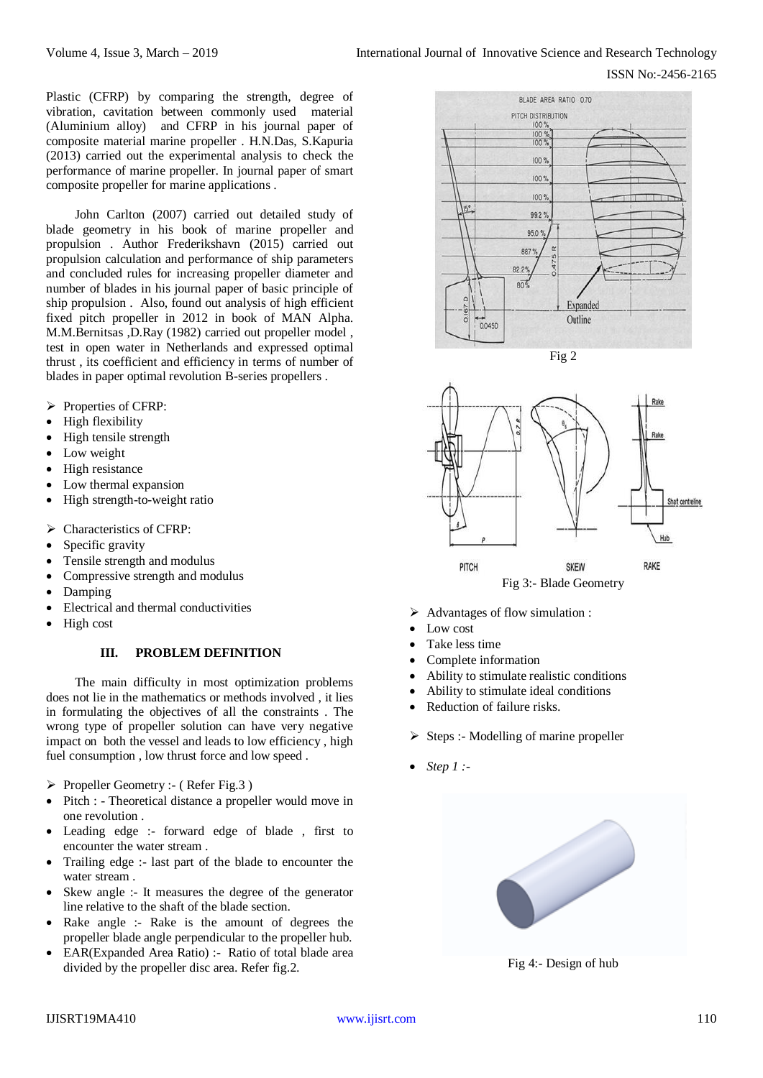Plastic (CFRP) by comparing the strength, degree of vibration, cavitation between commonly used material (Aluminium alloy) and CFRP in his journal paper of composite material marine propeller . H.N.Das, S.Kapuria (2013) carried out the experimental analysis to check the performance of marine propeller. In journal paper of smart composite propeller for marine applications .

John Carlton (2007) carried out detailed study of blade geometry in his book of marine propeller and propulsion . Author Frederikshavn (2015) carried out propulsion calculation and performance of ship parameters and concluded rules for increasing propeller diameter and number of blades in his journal paper of basic principle of ship propulsion . Also, found out analysis of high efficient fixed pitch propeller in 2012 in book of MAN Alpha. M.M.Bernitsas ,D.Ray (1982) carried out propeller model , test in open water in Netherlands and expressed optimal thrust , its coefficient and efficiency in terms of number of blades in paper optimal revolution B-series propellers .

- Properties of CFRP:
- High flexibility
- High tensile strength
- Low weight
- High resistance
- Low thermal expansion
- High strength-to-weight ratio
- $\triangleright$  Characteristics of CFRP:
- Specific gravity
- Tensile strength and modulus
- Compressive strength and modulus
- Damping
- Electrical and thermal conductivities
- High cost

# **III. PROBLEM DEFINITION**

The main difficulty in most optimization problems does not lie in the mathematics or methods involved , it lies in formulating the objectives of all the constraints . The wrong type of propeller solution can have very negative impact on both the vessel and leads to low efficiency , high fuel consumption , low thrust force and low speed .

- $\triangleright$  Propeller Geometry :- (Refer Fig.3)
- Pitch : Theoretical distance a propeller would move in one revolution .
- Leading edge :- forward edge of blade , first to encounter the water stream .
- Trailing edge :- last part of the blade to encounter the water stream .
- Skew angle :- It measures the degree of the generator line relative to the shaft of the blade section.
- Rake angle :- Rake is the amount of degrees the propeller blade angle perpendicular to the propeller hub.
- EAR(Expanded Area Ratio) :- Ratio of total blade area divided by the propeller disc area. Refer fig.2.







- $\triangleright$  Advantages of flow simulation :
- Low cost
- Take less time
- Complete information
- Ability to stimulate realistic conditions
- Ability to stimulate ideal conditions
- Reduction of failure risks.
- $\triangleright$  Steps :- Modelling of marine propeller
- *Step 1 :-*



Fig 4:- Design of hub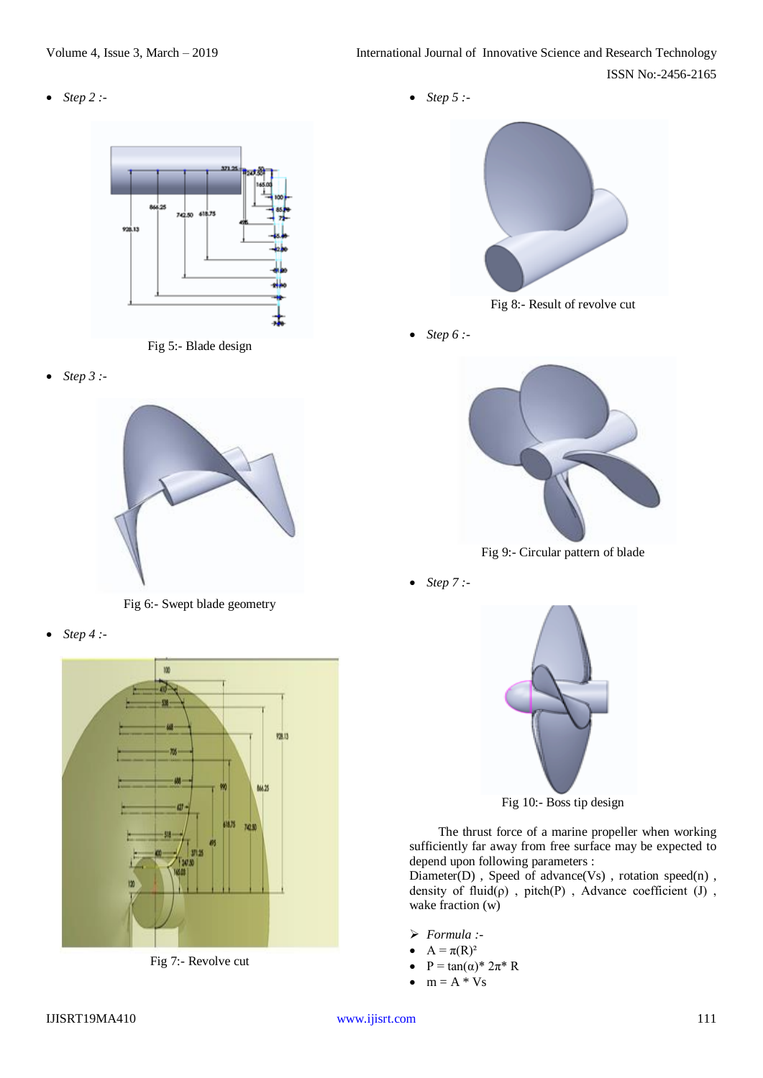*Step 2 :-* 





*Step 3 :-*



Fig 6:- Swept blade geometry

*Step 4 :-*



Fig 7:- Revolve cut





Fig 8:- Result of revolve cut

*Step 6 :-*



Fig 9:- Circular pattern of blade

*Step 7 :-*



Fig 10:- Boss tip design

The thrust force of a marine propeller when working sufficiently far away from free surface may be expected to depend upon following parameters :

Diameter(D), Speed of advance(Vs), rotation speed(n), density of  $fluid(\rho)$ , pitch(P), Advance coefficient (J), wake fraction (w)

- *Formula :-*
- $A = \pi(R)^2$
- $P = \tan(\alpha)^* 2\pi^* R$
- $\bullet$  m = A \* Vs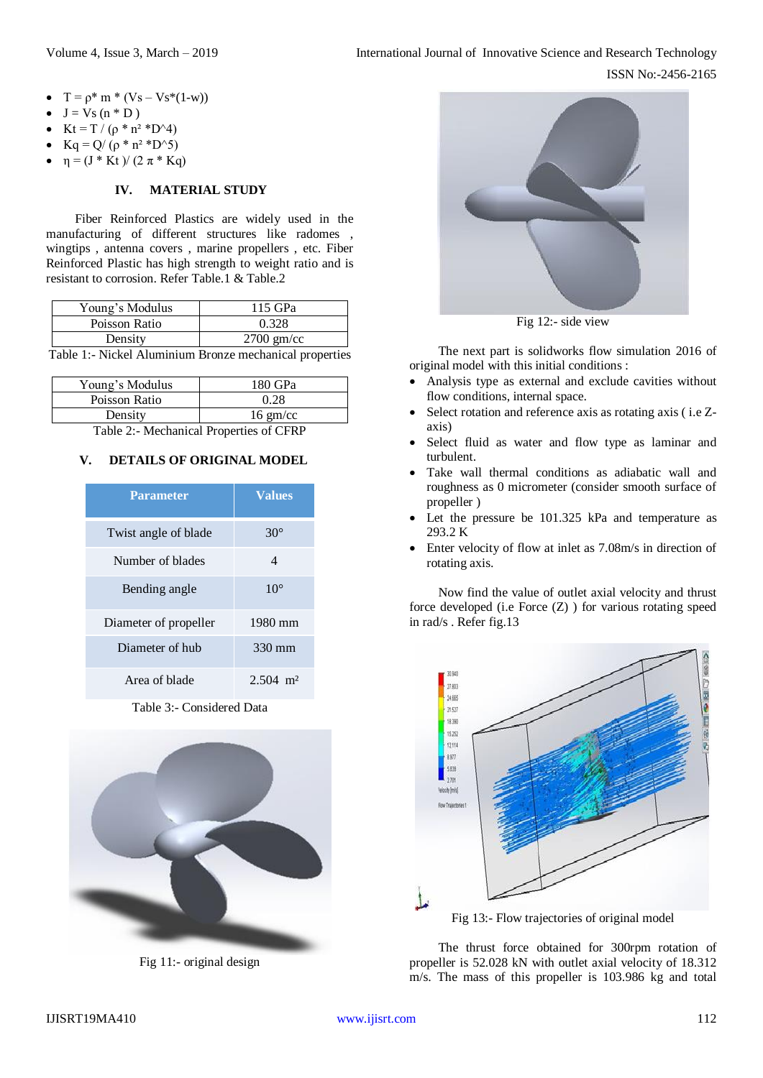- $T = \rho^* m * (Vs Vs^*(1-w))$
- $J = Vs (n * D)$
- Kt = T / (ρ \* n<sup>2</sup> \*D^4)
- $Kq = Q/ (ρ * n<sup>2</sup> *D<sup>2</sup>)$
- $\eta = (J * Kt) / (2 \pi * Kq)$

# **IV. MATERIAL STUDY**

Fiber Reinforced Plastics are widely used in the manufacturing of different structures like radomes , wingtips , antenna covers , marine propellers , etc. Fiber Reinforced Plastic has high strength to weight ratio and is resistant to corrosion. Refer Table.1 & Table.2

| Young's Modulus                                         | 115 GPa      |  |
|---------------------------------------------------------|--------------|--|
| Poisson Ratio                                           | 0.328        |  |
| Density                                                 | $2700$ gm/cc |  |
| Table 1:- Nickel Aluminium Bronze mechanical properties |              |  |

| Young's Modulus | 180 GPa            |
|-----------------|--------------------|
| Poisson Ratio   | 0.28               |
| Density         | $16 \text{ gm/cc}$ |

Table 2:- Mechanical Properties of CFRP

# **V. DETAILS OF ORIGINAL MODEL**

| <b>Parameter</b>      | <b>Values</b>          |
|-----------------------|------------------------|
| Twist angle of blade  | $30^{\circ}$           |
| Number of blades      | 4                      |
| Bending angle         | $10^{\circ}$           |
| Diameter of propeller | 1980 mm                |
| Diameter of hub       | 330 mm                 |
| Area of blade         | $2.504$ m <sup>2</sup> |

Table 3:- Considered Data



Fig 11:- original design



Fig 12:- side view

The next part is solidworks flow simulation 2016 of original model with this initial conditions :

- Analysis type as external and exclude cavities without flow conditions, internal space.
- Select rotation and reference axis as rotating axis ( i.e Zaxis)
- Select fluid as water and flow type as laminar and turbulent.
- Take wall thermal conditions as adiabatic wall and roughness as 0 micrometer (consider smooth surface of propeller )
- Let the pressure be 101.325 kPa and temperature as 293.2 K
- Enter velocity of flow at inlet as 7.08m/s in direction of rotating axis.

Now find the value of outlet axial velocity and thrust force developed (i.e Force (Z) ) for various rotating speed in rad/s . Refer fig.13



Fig 13:- Flow trajectories of original model

The thrust force obtained for 300rpm rotation of propeller is 52.028 kN with outlet axial velocity of 18.312 m/s. The mass of this propeller is 103.986 kg and total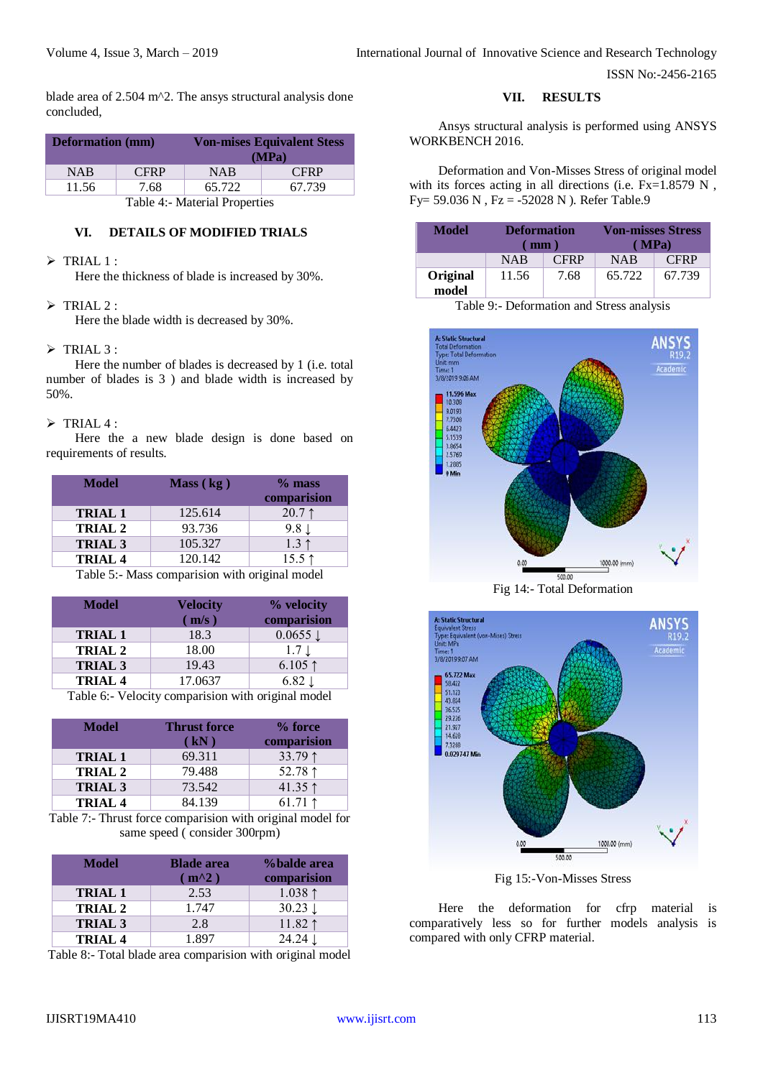ISSN No:-2456-2165

blade area of 2.504 m^2. The ansys structural analysis done concluded,

| <b>Deformation</b> (mm)           |             |            | <b>Von-mises Equivalent Stess</b><br>(MPa) |
|-----------------------------------|-------------|------------|--------------------------------------------|
| <b>NAB</b>                        | <b>CFRP</b> | <b>NAB</b> | <b>CFRP</b>                                |
| 65.722<br>67.739<br>11.56<br>7.68 |             |            |                                            |
| Table 4:- Material Properties     |             |            |                                            |

# **VI. DETAILS OF MODIFIED TRIALS**

## $\triangleright$  TRIAL 1 :

Here the thickness of blade is increased by 30%.

## $\triangleright$  TRIAL 2 :

Here the blade width is decreased by 30%.

## $\triangleright$  TRIAL 3 :

Here the number of blades is decreased by 1 (i.e. total number of blades is 3 ) and blade width is increased by 50%.

#### $\triangleright$  TRIAL 4 :

Here the a new blade design is done based on requirements of results.

| <b>Model</b>   | Mass (kg) | $%$ mass<br>comparision |
|----------------|-----------|-------------------------|
| <b>TRIAL 1</b> | 125.614   | $20.7 \uparrow$         |
| TRIAL 2        | 93.736    | $9.8 \downarrow$        |
| <b>TRIAL 3</b> | 105.327   | $1.3 \uparrow$          |
| <b>TRIAL 4</b> | 120.142   | $15.5 \uparrow$         |
| _ _ _ _ _      |           | $\sim$ $\sim$           |

Table 5:- Mass comparision with original model

| Velocity<br>$\mathbf{m/s}$ ) | % velocity<br>comparision |
|------------------------------|---------------------------|
| 18.3                         | $0.0655 \downarrow$       |
| 18.00                        | $1.7 \downarrow$          |
| 19.43                        | $6.105$ ↑                 |
| 17.0637                      | $6.82 \downarrow$         |
|                              |                           |

Table 6:- Velocity comparision with original model

| <b>Model</b>       | <b>Thrust force</b><br>(kN) | % force<br>comparision |
|--------------------|-----------------------------|------------------------|
| <b>TRIAL 1</b>     | 69.311                      | 33.79 1                |
| TRIAL <sub>2</sub> | 79.488                      | 52.78 $1$              |
| <b>TRIAL 3</b>     | 73.542                      | 41.35 $\uparrow$       |
| TRIAL <sub>4</sub> | 84.139                      | 61.71 $\uparrow$       |

Table 7:- Thrust force comparision with original model for same speed ( consider 300rpm)

| <b>Model</b>       | <b>Blade area</b><br>$m^2$ ) | %balde area<br>comparision |
|--------------------|------------------------------|----------------------------|
| <b>TRIAL1</b>      | 2.53                         | 1.038 $\uparrow$           |
| <b>TRIAL 2</b>     | 1.747                        | $30.23 \downarrow$         |
| <b>TRIAL 3</b>     | 2.8                          | 11.82 $\uparrow$           |
| TRIAL <sub>4</sub> | 1.897                        | $24.24 \perp$              |

Table 8:- Total blade area comparision with original model

**VII. RESULTS**

Ansys structural analysis is performed using ANSYS WORKBENCH 2016.

Deformation and Von-Misses Stress of original model with its forces acting in all directions (i.e. Fx=1.8579 N, Fy= 59.036 N , Fz = -52028 N ). Refer Table.9

| Model             | <b>Deformation</b><br>mm |             | <b>Von-misses Stress</b> | (MPa)       |
|-------------------|--------------------------|-------------|--------------------------|-------------|
|                   | <b>NAB</b>               | <b>CFRP</b> | <b>NAB</b>               | <b>CFRP</b> |
| Original<br>model | 11.56                    | 7.68        | 65.722                   | 67.739      |

Table 9:- Deformation and Stress analysis

| <b>A: Static Structural</b><br><b>Total Deformation</b> | <b>ANSYS</b><br>R19.2 |
|---------------------------------------------------------|-----------------------|
| Type: Total Deformation                                 |                       |
| Unit: mm                                                |                       |
| Time: 1                                                 | Academic              |
| 3/8/2019 9:06 AM                                        |                       |
| 11.596 Max                                              |                       |
| 10.308                                                  |                       |
| 9.0193                                                  |                       |
| 7.7308                                                  |                       |
| 6.4423                                                  |                       |
| 5.1539                                                  |                       |
| 3.8654                                                  |                       |
| 2.5769                                                  |                       |
| 1.2885                                                  |                       |
| 0 Min                                                   |                       |
|                                                         |                       |
|                                                         |                       |
|                                                         |                       |
|                                                         |                       |
|                                                         |                       |
|                                                         |                       |
|                                                         |                       |
|                                                         |                       |
| 0.00                                                    | 1000.00 (mm)          |
|                                                         |                       |
|                                                         | 500.00                |

Fig 14:- Total Deformation



Fig 15:-Von-Misses Stress

Here the deformation for cfrp material is comparatively less so for further models analysis is compared with only CFRP material.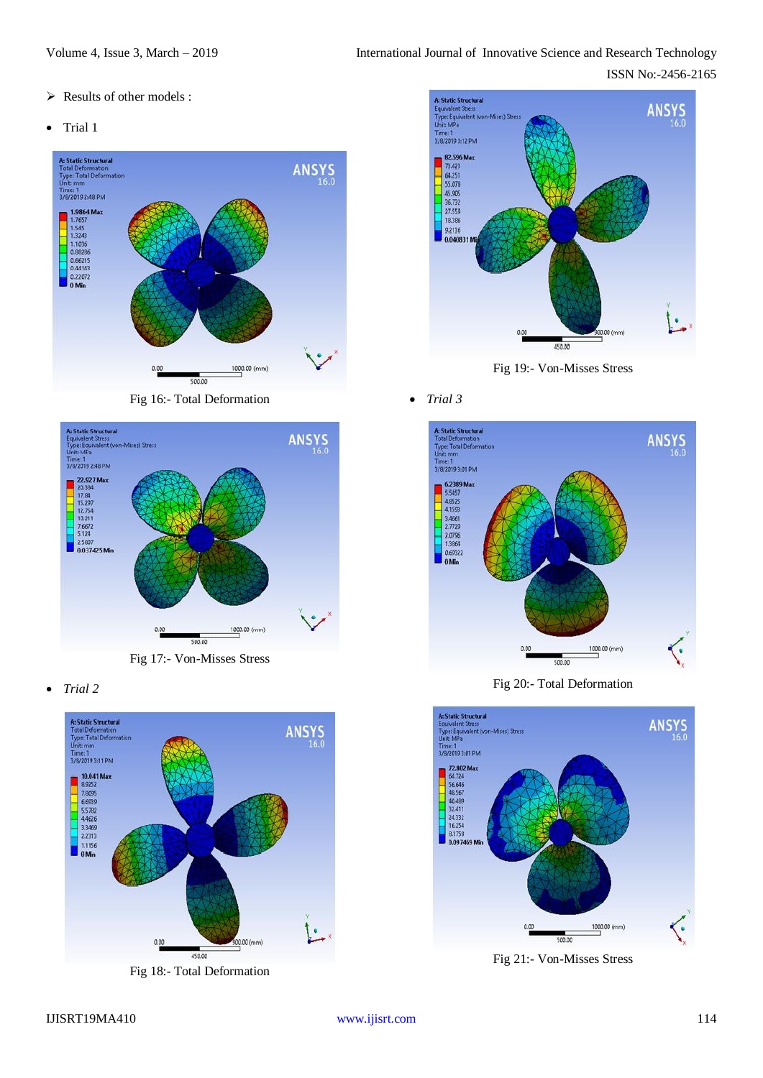- $\triangleright$  Results of other models :
- Trial 1



Fig 16:- Total Deformation



Fig 17:- Von-Misses Stress

*Trial 2*



Fig 18:- Total Deformation



Fig 19:- Von-Misses Stress

*Trial 3*



Fig 20:- Total Deformation



Fig 21:- Von-Misses Stress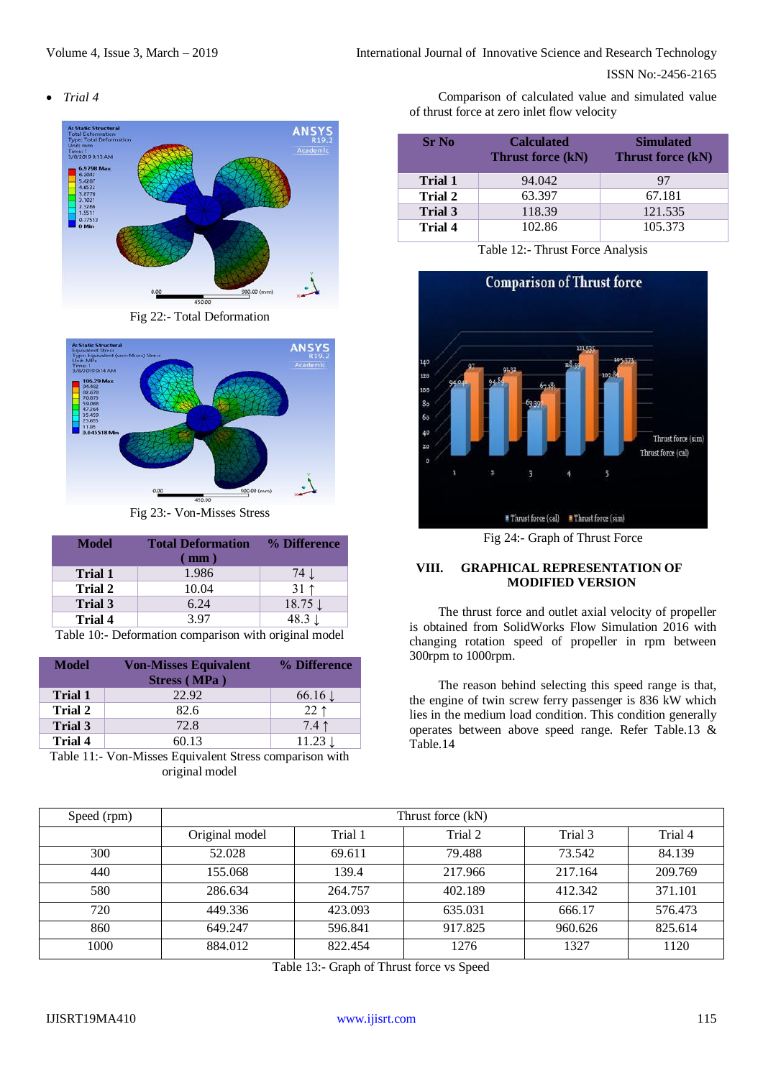ISSN No:-2456-2165

*Trial 4*



Fig 22:- Total Deformation



Fig 23:- Von-Misses Stress

| <b>Model</b>                                         | <b>Total Deformation</b><br>mm) | % Difference       |
|------------------------------------------------------|---------------------------------|--------------------|
| <b>Trial 1</b>                                       | 1.986                           | 74 J               |
| <b>Trial 2</b>                                       | 10.04                           | $31 \uparrow$      |
| <b>Trial 3</b>                                       | 6.24                            | $18.75 \downarrow$ |
| Trial 4                                              | 3.97                            | 48.3 $\downarrow$  |
| Table 10: Deformation comparison with original model |                                 |                    |

Table 10:- Deformation comparison with original model

| Model          | <b>Von-Misses Equivalent</b> | % Difference       |
|----------------|------------------------------|--------------------|
|                | Stress (MPa)                 |                    |
| <b>Trial 1</b> | 22.92                        | $66.16 \downarrow$ |
| Trial 2        | 82.6                         | $22$ 1             |
| Trial 3        | 72.8                         | $7.4$ ↑            |
| Trial 4        | 60.13                        | $11.23 \downarrow$ |

Table 11:- Von-Misses Equivalent Stress comparison with original model

Comparison of calculated value and simulated value of thrust force at zero inlet flow velocity

| <b>Sr</b> No   | <b>Calculated</b><br><b>Thrust force (kN)</b> | <b>Simulated</b><br>Thrust force (kN) |  |
|----------------|-----------------------------------------------|---------------------------------------|--|
| Trial 1        | 94.042                                        | 97                                    |  |
| <b>Trial 2</b> | 63.397                                        | 67.181                                |  |
| <b>Trial 3</b> | 118.39                                        | 121.535                               |  |
| <b>Trial 4</b> | 102.86                                        | 105.373                               |  |

Table 12:- Thrust Force Analysis



Fig 24:- Graph of Thrust Force

# **VIII. GRAPHICAL REPRESENTATION OF MODIFIED VERSION**

The thrust force and outlet axial velocity of propeller is obtained from SolidWorks Flow Simulation 2016 with changing rotation speed of propeller in rpm between 300rpm to 1000rpm.

The reason behind selecting this speed range is that, the engine of twin screw ferry passenger is 836 kW which lies in the medium load condition. This condition generally operates between above speed range. Refer Table.13 & Table.14

| Speed (rpm) | Thrust force (kN) |         |         |         |         |
|-------------|-------------------|---------|---------|---------|---------|
|             | Original model    | Trial 1 | Trial 2 | Trial 3 | Trial 4 |
| 300         | 52.028            | 69.611  | 79.488  | 73.542  | 84.139  |
| 440         | 155.068           | 139.4   | 217.966 | 217.164 | 209.769 |
| 580         | 286.634           | 264.757 | 402.189 | 412.342 | 371.101 |
| 720         | 449.336           | 423.093 | 635.031 | 666.17  | 576.473 |
| 860         | 649.247           | 596.841 | 917.825 | 960.626 | 825.614 |
| 1000        | 884.012           | 822.454 | 1276    | 1327    | 1120    |

Table 13:- Graph of Thrust force vs Speed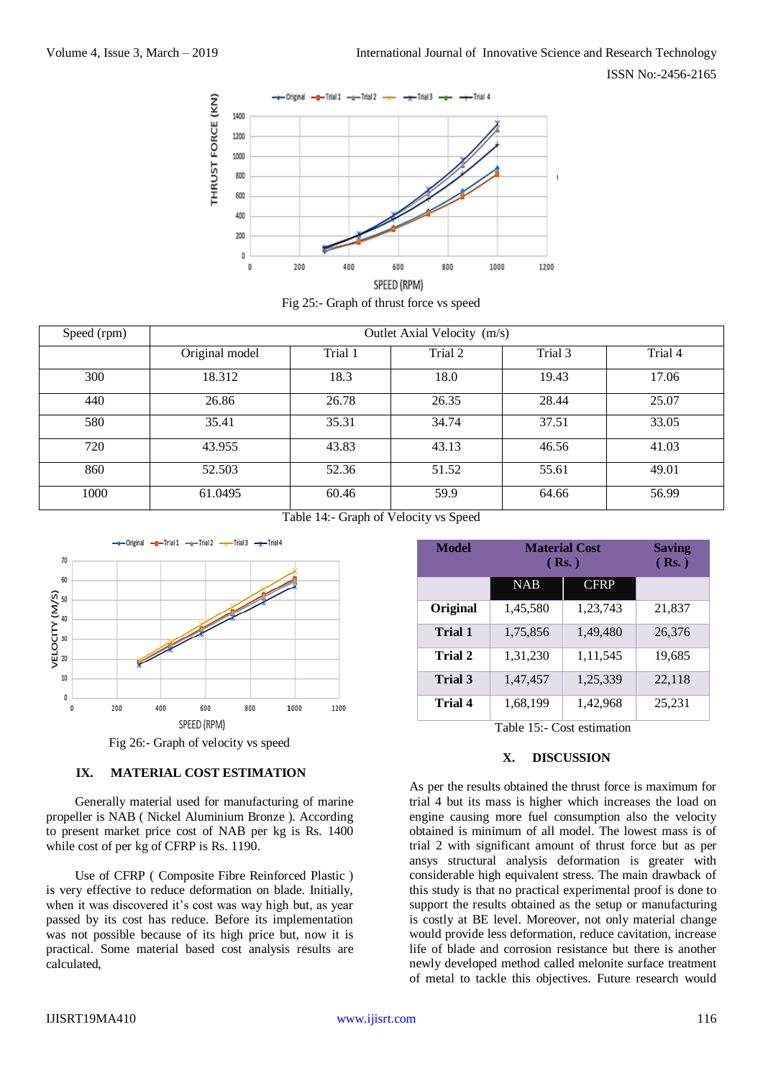ISSN No:-2456-2165



Fig 25:- Graph of thrust force vs speed

| Speed (rpm) | Outlet Axial Velocity (m/s) |         |                  |         |         |
|-------------|-----------------------------|---------|------------------|---------|---------|
|             | Original model              | Trial 1 | Trial 2          | Trial 3 | Trial 4 |
| 300         | 18.312                      | 18.3    | 18.0             | 19.43   | 17.06   |
| 440         | 26.86                       | 26.78   | 26.35            | 28.44   | 25.07   |
| 580         | 35.41                       | 35.31   | 34.74            | 37.51   | 33.05   |
| 720         | 43.955                      | 43.83   | 43.13            | 46.56   | 41.03   |
| 860         | 52.503                      | 52.36   | 51.52            | 55.61   | 49.01   |
| 1000        | 61.0495                     | 60.46   | 59.9<br>$\cdots$ | 64.66   | 56.99   |

Table 14:- Graph of Velocity vs Speed



Fig 26:- Graph of velocity vs speed

## **IX. MATERIAL COST ESTIMATION**

Generally material used for manufacturing of marine propeller is NAB ( Nickel Aluminium Bronze ). According to present market price cost of NAB per kg is Rs. 1400 while cost of per kg of CFRP is Rs. 1190.

Use of CFRP ( Composite Fibre Reinforced Plastic ) is very effective to reduce deformation on blade. Initially, when it was discovered it's cost was way high but, as year passed by its cost has reduce. Before its implementation was not possible because of its high price but, now it is practical. Some material based cost analysis results are calculated,

| <b>Model</b>   | <b>Material Cost</b><br>(Rs.) |             | <b>Saving</b><br>(Rs.) |
|----------------|-------------------------------|-------------|------------------------|
|                | <b>NAB</b>                    | <b>CFRP</b> |                        |
| Original       | 1,45,580                      | 1,23,743    | 21,837                 |
| <b>Trial 1</b> | 1,75,856                      | 1,49,480    | 26,376                 |
| Trial 2        | 1,31,230                      | 1, 11, 545  | 19,685                 |
| Trial 3        | 1,47,457                      | 1,25,339    | 22,118                 |
| <b>Trial 4</b> | 1,68,199                      | 1,42,968    | 25,231                 |

Table 15:- Cost estimation

## **X. DISCUSSION**

As per the results obtained the thrust force is maximum for trial 4 but its mass is higher which increases the load on engine causing more fuel consumption also the velocity obtained is minimum of all model. The lowest mass is of trial 2 with significant amount of thrust force but as per ansys structural analysis deformation is greater with considerable high equivalent stress. The main drawback of this study is that no practical experimental proof is done to support the results obtained as the setup or manufacturing is costly at BE level. Moreover, not only material change would provide less deformation, reduce cavitation, increase life of blade and corrosion resistance but there is another newly developed method called melonite surface treatment of metal to tackle this objectives. Future research would